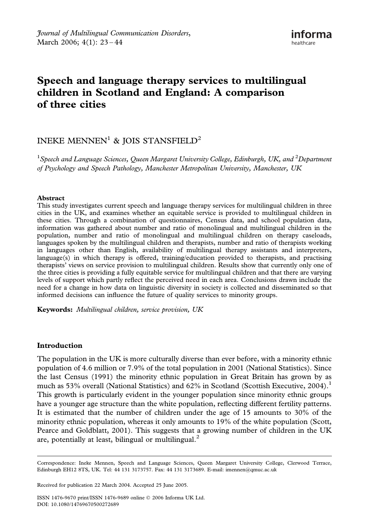# Speech and language therapy services to multilingual children in Scotland and England: A comparison of three cities

# INEKE MENNEN<sup>1</sup> & JOIS STANSFIELD<sup>2</sup>

 $^1$ Speech and Language Sciences, Queen Margaret University College, Edinburgh, UK, and  $^2$ Department of Psychology and Speech Pathology, Manchester Metropolitan University, Manchester, UK

## Abstract

This study investigates current speech and language therapy services for multilingual children in three cities in the UK, and examines whether an equitable service is provided to multilingual children in these cities. Through a combination of questionnaires, Census data, and school population data, information was gathered about number and ratio of monolingual and multilingual children in the population, number and ratio of monolingual and multilingual children on therapy caseloads, languages spoken by the multilingual children and therapists, number and ratio of therapists working in languages other than English, availability of multilingual therapy assistants and interpreters, language(s) in which therapy is offered, training/education provided to therapists, and practising therapists' views on service provision to multilingual children. Results show that currently only one of the three cities is providing a fully equitable service for multilingual children and that there are varying levels of support which partly reflect the perceived need in each area. Conclusions drawn include the need for a change in how data on linguistic diversity in society is collected and disseminated so that informed decisions can influence the future of quality services to minority groups.

Keywords: Multilingual children, service provision, UK

## Introduction

The population in the UK is more culturally diverse than ever before, with a minority ethnic population of 4.6 million or 7.9% of the total population in 2001 (National Statistics). Since the last Census (1991) the minority ethnic population in Great Britain has grown by as much as 53% overall (National Statistics) and 62% in Scotland (Scottish Executive, 2004).<sup>1</sup> This growth is particularly evident in the younger population since minority ethnic groups have a younger age structure than the white population, reflecting different fertility patterns. It is estimated that the number of children under the age of 15 amounts to 30% of the minority ethnic population, whereas it only amounts to 19% of the white population (Scott, Pearce and Goldblatt, 2001). This suggests that a growing number of children in the UK are, potentially at least, bilingual or multilingual.<sup>2</sup>

Received for publication 22 March 2004. Accepted 25 June 2005.

ISSN 1476-9670 print/ISSN 1476-9689 online 2006 Informa UK Ltd. DOI: 10.1080/14769670500272689

Correspondence: Ineke Mennen, Speech and Language Sciences, Queen Margaret University College, Clerwood Terrace, Edinburgh EH12 8TS, UK. Tel: 44 131 3173757. Fax: 44 131 3173689. E-mail: imennen@qmuc.ac.uk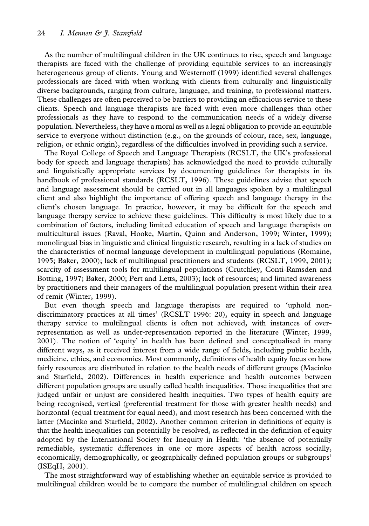As the number of multilingual children in the UK continues to rise, speech and language therapists are faced with the challenge of providing equitable services to an increasingly heterogeneous group of clients. Young and Westernoff (1999) identified several challenges professionals are faced with when working with clients from culturally and linguistically diverse backgrounds, ranging from culture, language, and training, to professional matters. These challenges are often perceived to be barriers to providing an efficacious service to these clients. Speech and language therapists are faced with even more challenges than other professionals as they have to respond to the communication needs of a widely diverse population. Nevertheless, they have a moral as well as a legal obligation to provide an equitable service to everyone without distinction (e.g., on the grounds of colour, race, sex, language, religion, or ethnic origin), regardless of the difficulties involved in providing such a service.

The Royal College of Speech and Language Therapists (RCSLT, the UK's professional body for speech and language therapists) has acknowledged the need to provide culturally and linguistically appropriate services by documenting guidelines for therapists in its handbook of professional standards (RCSLT, 1996). These guidelines advise that speech and language assessment should be carried out in all languages spoken by a multilingual client and also highlight the importance of offering speech and language therapy in the client's chosen language. In practice, however, it may be difficult for the speech and language therapy service to achieve these guidelines. This difficulty is most likely due to a combination of factors, including limited education of speech and language therapists on multicultural issues (Raval, Hooke, Martin, Quinn and Anderson, 1999; Winter, 1999); monolingual bias in linguistic and clinical linguistic research, resulting in a lack of studies on the characteristics of normal language development in multilingual populations (Romaine, 1995; Baker, 2000); lack of multilingual practitioners and students (RCSLT, 1999, 2001); scarcity of assessment tools for multilingual populations (Crutchley, Conti-Ramsden and Botting, 1997; Baker, 2000; Pert and Letts, 2003); lack of resources; and limited awareness by practitioners and their managers of the multilingual population present within their area of remit (Winter, 1999).

But even though speech and language therapists are required to 'uphold nondiscriminatory practices at all times' (RCSLT 1996: 20), equity in speech and language therapy service to multilingual clients is often not achieved, with instances of overrepresentation as well as under-representation reported in the literature (Winter, 1999, 2001). The notion of 'equity' in health has been defined and conceptualised in many different ways, as it received interest from a wide range of fields, including public health, medicine, ethics, and economics. Most commonly, definitions of health equity focus on how fairly resources are distributed in relation to the health needs of different groups (Macinko and Starfield, 2002). Differences in health experience and health outcomes between different population groups are usually called health inequalities. Those inequalities that are judged unfair or unjust are considered health inequities. Two types of health equity are being recognised, vertical (preferential treatment for those with greater health needs) and horizontal (equal treatment for equal need), and most research has been concerned with the latter (Macinko and Starfield, 2002). Another common criterion in definitions of equity is that the health inequalities can potentially be resolved, as reflected in the definition of equity adopted by the International Society for Inequity in Health: 'the absence of potentially remediable, systematic differences in one or more aspects of health across socially, economically, demographically, or geographically defined population groups or subgroups' (ISEqH, 2001).

The most straightforward way of establishing whether an equitable service is provided to multilingual children would be to compare the number of multilingual children on speech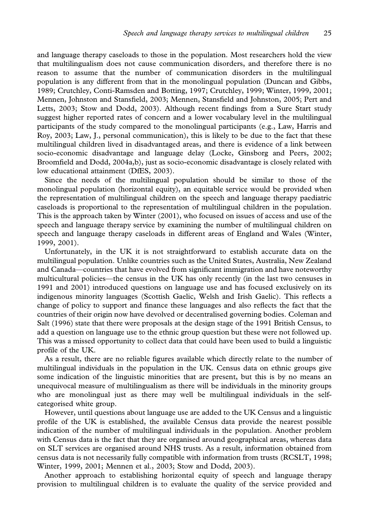and language therapy caseloads to those in the population. Most researchers hold the view that multilingualism does not cause communication disorders, and therefore there is no reason to assume that the number of communication disorders in the multilingual population is any different from that in the monolingual population (Duncan and Gibbs, 1989; Crutchley, Conti-Ramsden and Botting, 1997; Crutchley, 1999; Winter, 1999, 2001; Mennen, Johnston and Stansfield, 2003; Mennen, Stansfield and Johnston, 2005; Pert and Letts, 2003; Stow and Dodd, 2003). Although recent findings from a Sure Start study suggest higher reported rates of concern and a lower vocabulary level in the multilingual participants of the study compared to the monolingual participants (e.g., Law, Harris and Roy, 2003; Law, J., personal communication), this is likely to be due to the fact that these multilingual children lived in disadvantaged areas, and there is evidence of a link between socio-economic disadvantage and language delay (Locke, Ginsborg and Peers, 2002; Broomfield and Dodd, 2004a,b), just as socio-economic disadvantage is closely related with low educational attainment (DfES, 2003).

Since the needs of the multilingual population should be similar to those of the monolingual population (horizontal equity), an equitable service would be provided when the representation of multilingual children on the speech and language therapy paediatric caseloads is proportional to the representation of multilingual children in the population. This is the approach taken by Winter (2001), who focused on issues of access and use of the speech and language therapy service by examining the number of multilingual children on speech and language therapy caseloads in different areas of England and Wales (Winter, 1999, 2001).

Unfortunately, in the UK it is not straightforward to establish accurate data on the multilingual population. Unlike countries such as the United States, Australia, New Zealand and Canada—countries that have evolved from significant immigration and have noteworthy multicultural policies—the census in the UK has only recently (in the last two censuses in 1991 and 2001) introduced questions on language use and has focused exclusively on its indigenous minority languages (Scottish Gaelic, Welsh and Irish Gaelic). This reflects a change of policy to support and finance these languages and also reflects the fact that the countries of their origin now have devolved or decentralised governing bodies. Coleman and Salt (1996) state that there were proposals at the design stage of the 1991 British Census, to add a question on language use to the ethnic group question but these were not followed up. This was a missed opportunity to collect data that could have been used to build a linguistic profile of the UK.

As a result, there are no reliable figures available which directly relate to the number of multilingual individuals in the population in the UK. Census data on ethnic groups give some indication of the linguistic minorities that are present, but this is by no means an unequivocal measure of multilingualism as there will be individuals in the minority groups who are monolingual just as there may well be multilingual individuals in the selfcategorised white group.

However, until questions about language use are added to the UK Census and a linguistic profile of the UK is established, the available Census data provide the nearest possible indication of the number of multilingual individuals in the population. Another problem with Census data is the fact that they are organised around geographical areas, whereas data on SLT services are organised around NHS trusts. As a result, information obtained from census data is not necessarily fully compatible with information from trusts (RCSLT, 1998; Winter, 1999, 2001; Mennen et al., 2003; Stow and Dodd, 2003).

Another approach to establishing horizontal equity of speech and language therapy provision to multilingual children is to evaluate the quality of the service provided and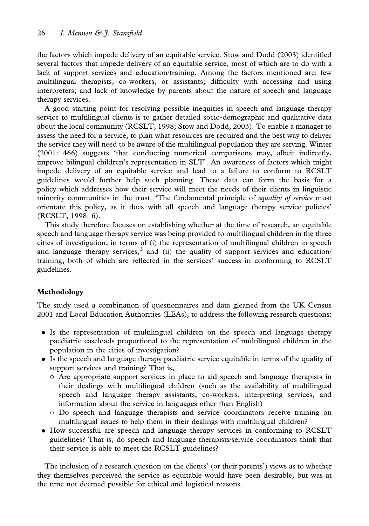the factors which impede delivery of an equitable service. Stow and Dodd (2003) identified several factors that impede delivery of an equitable service, most of which are to do with a lack of support services and education/training. Among the factors mentioned are: few multilingual therapists, co-workers, or assistants; difficulty with accessing and using interpreters; and lack of knowledge by parents about the nature of speech and language therapy services.

A good starting point for resolving possible inequities in speech and language therapy service to multilingual clients is to gather detailed socio-demographic and qualitative data about the local community (RCSLT, 1998; Stow and Dodd, 2003). To enable a manager to assess the need for a service, to plan what resources are required and the best way to deliver the service they will need to be aware of the multilingual population they are serving. Winter (2001: 466) suggests 'that conducting numerical comparisons may, albeit indirectly, improve bilingual children's representation in SLT'. An awareness of factors which might impede delivery of an equitable service and lead to a failure to conform to RCSLT guidelines would further help such planning. These data can form the basis for a policy which addresses how their service will meet the needs of their clients in linguistic minority communities in the trust. 'The fundamental principle of equality of service must orientate this policy, as it does with all speech and language therapy service policies' (RCSLT, 1998: 6).

This study therefore focuses on establishing whether at the time of research, an equitable speech and language therapy service was being provided to multilingual children in the three cities of investigation, in terms of (i) the representation of multilingual children in speech and language therapy services,<sup>3</sup> and (ii) the quality of support services and education training, both of which are reflected in the services' success in conforming to RCSLT guidelines.

# Methodology

The study used a combination of questionnaires and data gleaned from the UK Census 2001 and Local Education Authorities (LEAs), to address the following research questions:

- . Is the representation of multilingual children on the speech and language therapy paediatric caseloads proportional to the representation of multilingual children in the population in the cities of investigation?
- . Is the speech and language therapy paediatric service equitable in terms of the quality of support services and training? That is,
	- $\circ$  Are appropriate support services in place to aid speech and language therapists in their dealings with multilingual children (such as the availability of multilingual speech and language therapy assistants, co-workers, interpreting services, and information about the service in languages other than English)
	- Do speech and language therapists and service coordinators receive training on multilingual issues to help them in their dealings with multilingual children?
- . How successful are speech and language therapy services in conforming to RCSLT guidelines? That is, do speech and language therapists/service coordinators think that their service is able to meet the RCSLT guidelines?

The inclusion of a research question on the clients' (or their parents') views as to whether they themselves perceived the service as equitable would have been desirable, but was at the time not deemed possible for ethical and logistical reasons.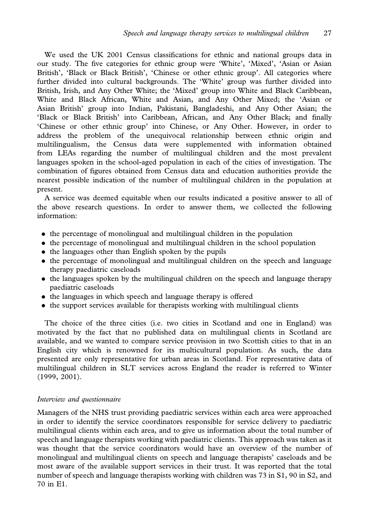We used the UK 2001 Census classifications for ethnic and national groups data in our study. The five categories for ethnic group were 'White', 'Mixed', 'Asian or Asian British', 'Black or Black British', 'Chinese or other ethnic group'. All categories where further divided into cultural backgrounds. The 'White' group was further divided into British, Irish, and Any Other White; the 'Mixed' group into White and Black Caribbean, White and Black African, White and Asian, and Any Other Mixed; the 'Asian or Asian British' group into Indian, Pakistani, Bangladeshi, and Any Other Asian; the 'Black or Black British' into Caribbean, African, and Any Other Black; and finally 'Chinese or other ethnic group' into Chinese, or Any Other. However, in order to address the problem of the unequivocal relationship between ethnic origin and multilingualism, the Census data were supplemented with information obtained from LEAs regarding the number of multilingual children and the most prevalent languages spoken in the school-aged population in each of the cities of investigation. The combination of figures obtained from Census data and education authorities provide the nearest possible indication of the number of multilingual children in the population at present.

A service was deemed equitable when our results indicated a positive answer to all of the above research questions. In order to answer them, we collected the following information:

- . the percentage of monolingual and multilingual children in the population
- . the percentage of monolingual and multilingual children in the school population
- the languages other than English spoken by the pupils
- . the percentage of monolingual and multilingual children on the speech and language therapy paediatric caseloads
- . the languages spoken by the multilingual children on the speech and language therapy paediatric caseloads
- . the languages in which speech and language therapy is offered
- . the support services available for therapists working with multilingual clients

The choice of the three cities (i.e. two cities in Scotland and one in England) was motivated by the fact that no published data on multilingual clients in Scotland are available, and we wanted to compare service provision in two Scottish cities to that in an English city which is renowned for its multicultural population. As such, the data presented are only representative for urban areas in Scotland. For representative data of multilingual children in SLT services across England the reader is referred to Winter (1999, 2001).

## Interview and questionnaire

Managers of the NHS trust providing paediatric services within each area were approached in order to identify the service coordinators responsible for service delivery to paediatric multilingual clients within each area, and to give us information about the total number of speech and language therapists working with paediatric clients. This approach was taken as it was thought that the service coordinators would have an overview of the number of monolingual and multilingual clients on speech and language therapists' caseloads and be most aware of the available support services in their trust. It was reported that the total number of speech and language therapists working with children was 73 in S1, 90 in S2, and 70 in E1.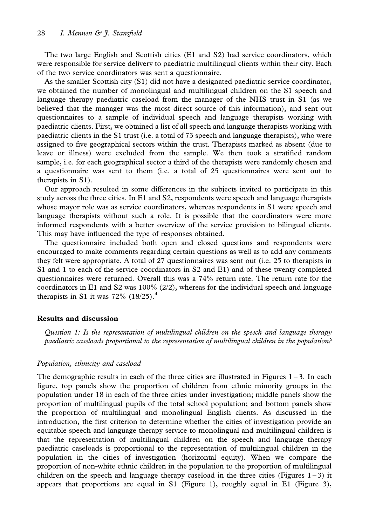The two large English and Scottish cities (E1 and S2) had service coordinators, which were responsible for service delivery to paediatric multilingual clients within their city. Each of the two service coordinators was sent a questionnaire.

As the smaller Scottish city (S1) did not have a designated paediatric service coordinator, we obtained the number of monolingual and multilingual children on the S1 speech and language therapy paediatric caseload from the manager of the NHS trust in S1 (as we believed that the manager was the most direct source of this information), and sent out questionnaires to a sample of individual speech and language therapists working with paediatric clients. First, we obtained a list of all speech and language therapists working with paediatric clients in the S1 trust (i.e. a total of 73 speech and language therapists), who were assigned to five geographical sectors within the trust. Therapists marked as absent (due to leave or illness) were excluded from the sample. We then took a stratified random sample, i.e. for each geographical sector a third of the therapists were randomly chosen and a questionnaire was sent to them (i.e. a total of 25 questionnaires were sent out to therapists in S1).

Our approach resulted in some differences in the subjects invited to participate in this study across the three cities. In E1 and S2, respondents were speech and language therapists whose mayor role was as service coordinators, whereas respondents in S1 were speech and language therapists without such a role. It is possible that the coordinators were more informed respondents with a better overview of the service provision to bilingual clients. This may have influenced the type of responses obtained.

The questionnaire included both open and closed questions and respondents were encouraged to make comments regarding certain questions as well as to add any comments they felt were appropriate. A total of 27 questionnaires was sent out (i.e. 25 to therapists in S1 and 1 to each of the service coordinators in S2 and E1) and of these twenty completed questionnaires were returned. Overall this was a 74% return rate. The return rate for the coordinators in E1 and S2 was 100% (2/2), whereas for the individual speech and language therapists in S1 it was  $72\%$  (18/25).<sup>4</sup>

## Results and discussion

Question 1: Is the representation of multilingual children on the speech and language therapy paediatric caseloads proportional to the representation of multilingual children in the population?

#### Population, ethnicity and caseload

The demographic results in each of the three cities are illustrated in Figures  $1 - 3$ . In each figure, top panels show the proportion of children from ethnic minority groups in the population under 18 in each of the three cities under investigation; middle panels show the proportion of multilingual pupils of the total school population; and bottom panels show the proportion of multilingual and monolingual English clients. As discussed in the introduction, the first criterion to determine whether the cities of investigation provide an equitable speech and language therapy service to monolingual and multilingual children is that the representation of multilingual children on the speech and language therapy paediatric caseloads is proportional to the representation of multilingual children in the population in the cities of investigation (horizontal equity). When we compare the proportion of non-white ethnic children in the population to the proportion of multilingual children on the speech and language therapy caseload in the three cities (Figures  $1-3$ ) it appears that proportions are equal in S1 (Figure 1), roughly equal in E1 (Figure 3),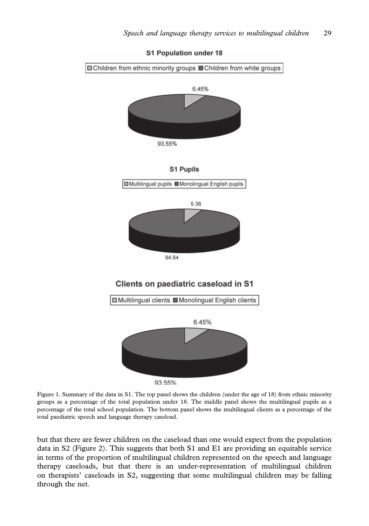

#### S1 Population under 18

Figure 1. Summary of the data in S1. The top panel shows the children (under the age of 18) from ethnic minority groups as a percentage of the total population under 18. The middle panel shows the multilingual pupils as a percentage of the total school population. The bottom panel shows the multilingual clients as a percentage of the total paediatric speech and language therapy caseload.

but that there are fewer children on the caseload than one would expect from the population data in S2 (Figure 2). This suggests that both S1 and E1 are providing an equitable service in terms of the proportion of multilingual children represented on the speech and language therapy caseloads, but that there is an under-representation of multilingual children on therapists' caseloads in S2, suggesting that some multilingual children may be falling through the net.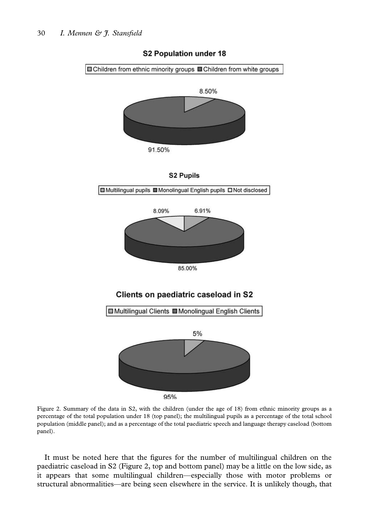

#### **S2 Population under 18**

Figure 2. Summary of the data in S2, with the children (under the age of 18) from ethnic minority groups as a percentage of the total population under 18 (top panel); the multilingual pupils as a percentage of the total school population (middle panel); and as a percentage of the total paediatric speech and language therapy caseload (bottom panel).

It must be noted here that the figures for the number of multilingual children on the paediatric caseload in S2 (Figure 2, top and bottom panel) may be a little on the low side, as it appears that some multilingual children—especially those with motor problems or structural abnormalities—are being seen elsewhere in the service. It is unlikely though, that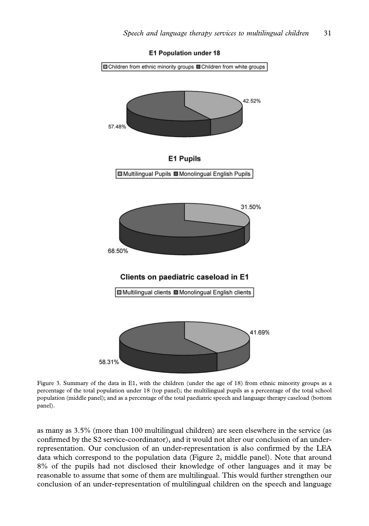

Figure 3. Summary of the data in E1, with the children (under the age of 18) from ethnic minority groups as a percentage of the total population under 18 (top panel); the multilingual pupils as a percentage of the total school population (middle panel); and as a percentage of the total paediatric speech and language therapy caseload (bottom panel).

as many as 3.5% (more than 100 multilingual children) are seen elsewhere in the service (as confirmed by the S2 service-coordinator), and it would not alter our conclusion of an underrepresentation. Our conclusion of an under-representation is also confirmed by the LEA data which correspond to the population data (Figure 2, middle panel). Note that around 8% of the pupils had not disclosed their knowledge of other languages and it may be reasonable to assume that some of them are multilingual. This would further strengthen our conclusion of an under-representation of multilingual children on the speech and language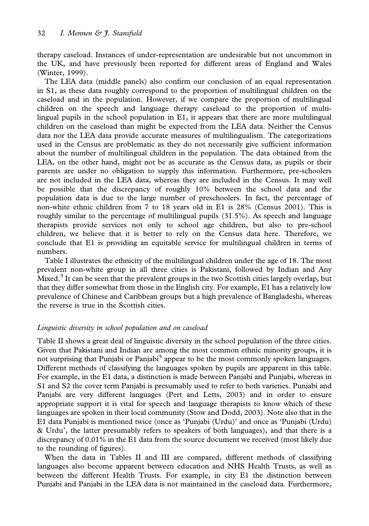therapy caseload. Instances of under-representation are undesirable but not uncommon in the UK, and have previously been reported for different areas of England and Wales (Winter, 1999).

The LEA data (middle panels) also confirm our conclusion of an equal representation in S1, as these data roughly correspond to the proportion of multilingual children on the caseload and in the population. However, if we compare the proportion of multilingual children on the speech and language therapy caseload to the proportion of multilingual pupils in the school population in E1, it appears that there are more multilingual children on the caseload than might be expected from the LEA data. Neither the Census data nor the LEA data provide accurate measures of multilingualism. The categorizations used in the Census are problematic as they do not necessarily give sufficient information about the number of multilingual children in the population. The data obtained from the LEA, on the other hand, might not be as accurate as the Census data, as pupils or their parents are under no obligation to supply this information. Furthermore, pre-schoolers are not included in the LEA data, whereas they are included in the Census. It may well be possible that the discrepancy of roughly 10% between the school data and the population data is due to the large number of preschoolers. In fact, the percentage of non-white ethnic children from 7 to 18 years old in E1 is 28% (Census 2001). This is roughly similar to the percentage of multilingual pupils (31.5%). As speech and language therapists provide services not only to school age children, but also to pre-school children, we believe that it is better to rely on the Census data here. Therefore, we conclude that E1 is providing an equitable service for multilingual children in terms of numbers.

Table I illustrates the ethnicity of the multilingual children under the age of 18. The most prevalent non-white group in all three cities is Pakistani, followed by Indian and Any Mixed. $5$  It can be seen that the prevalent groups in the two Scottish cities largely overlap, but that they differ somewhat from those in the English city. For example, E1 has a relatively low prevalence of Chinese and Caribbean groups but a high prevalence of Bangladeshi, whereas the reverse is true in the Scottish cities.

## Linguistic diversity in school population and on caseload

Table II shows a great deal of linguistic diversity in the school population of the three cities. Given that Pakistani and Indian are among the most common ethnic minority groups, it is not surprising that Punjabi or Panjabi<sup>5</sup> appear to be the most commonly spoken languages. Different methods of classifying the languages spoken by pupils are apparent in this table. For example, in the E1 data, a distinction is made between Panjabi and Punjabi, whereas in S1 and S2 the cover term Panjabi is presumably used to refer to both varieties. Punjabi and Panjabi are very different languages (Pert and Letts, 2003) and in order to ensure appropriate support it is vital for speech and language therapists to know which of these languages are spoken in their local community (Stow and Dodd, 2003). Note also that in the E1 data Punjabi is mentioned twice (once as 'Punjabi (Urdu)' and once as 'Punjabi (Urdu) & Urdu', the latter presumably refers to speakers of both languages), and that there is a discrepancy of 0.01% in the E1 data from the source document we received (most likely due to the rounding of figures).

When the data in Tables II and III are compared, different methods of classifying languages also become apparent between education and NHS Health Trusts, as well as between the different Health Trusts. For example, in city E1 the distinction between Punjabi and Panjabi in the LEA data is not maintained in the caseload data. Furthermore,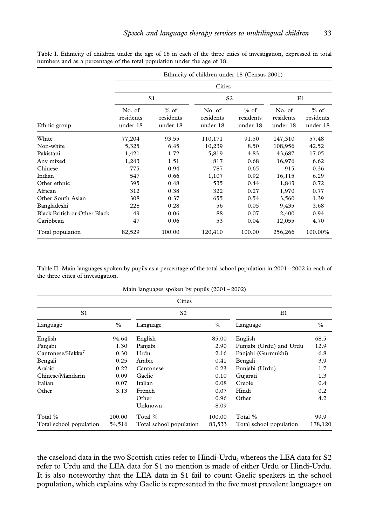|                                     |                                 |                                 | Ethnicity of children under 18 (Census 2001) |                                 |                                 |                                 |
|-------------------------------------|---------------------------------|---------------------------------|----------------------------------------------|---------------------------------|---------------------------------|---------------------------------|
|                                     |                                 |                                 | Cities                                       |                                 |                                 |                                 |
|                                     |                                 | S1                              | S <sub>2</sub>                               |                                 |                                 | E1                              |
| Ethnic group                        | No. of<br>residents<br>under 18 | $%$ of<br>residents<br>under 18 | No. of<br>residents<br>under 18              | $%$ of<br>residents<br>under 18 | No. of<br>residents<br>under 18 | $%$ of<br>residents<br>under 18 |
| White                               | 77,204                          | 93.55                           | 110,171                                      | 91.50                           | 147,310                         | 57.48                           |
| Non-white                           | 5,325                           | 6.45                            | 10,239                                       | 8.50                            | 108,956                         | 42.52                           |
| Pakistani                           | 1,421                           | 1.72                            | 5,819                                        | 4.83                            | 43,687                          | 17.05                           |
| Any mixed                           | 1,243                           | 1.51                            | 817                                          | 0.68                            | 16,976                          | 6.62                            |
| Chinese                             | 775                             | 0.94                            | 787                                          | 0.65                            | 915                             | 0.36                            |
| Indian                              | 547                             | 0.66                            | 1,107                                        | 0.92                            | 16,115                          | 6.29                            |
| Other ethnic                        | 395                             | 0.48                            | 535                                          | 0.44                            | 1,843                           | 0.72                            |
| African                             | 312                             | 0.38                            | 322                                          | 0.27                            | 1,970                           | 0.77                            |
| Other South Asian                   | 308                             | 0.37                            | 655                                          | 0.54                            | 3,560                           | 1.39                            |
| Bangladeshi                         | 228                             | 0.28                            | 56                                           | 0.05                            | 9,435                           | 3.68                            |
| <b>Black British or Other Black</b> | 49                              | 0.06                            | 88                                           | 0.07                            | 2,400                           | 0.94                            |
| Caribbean                           | 47                              | 0.06                            | 53                                           | 0.04                            | 12,055                          | 4.70                            |
| Total population                    | 82,529                          | 100.00                          | 120,410                                      | 100.00                          | 256,266                         | 100.00%                         |

Table I. Ethnicity of children under the age of 18 in each of the three cities of investigation, expressed in total numbers and as a percentage of the total population under the age of 18.

Table II. Main languages spoken by pupils as a percentage of the total school population in 2001 – 2002 in each of the three cities of investigation.

|                              |               | Main languages spoken by pupils $(2001 – 2002)$ |               |                         |               |
|------------------------------|---------------|-------------------------------------------------|---------------|-------------------------|---------------|
|                              |               | Cities                                          |               |                         |               |
| S <sub>1</sub>               |               | S <sub>2</sub>                                  |               | E1                      |               |
| Language                     | $\frac{0}{0}$ | Language                                        | $\frac{0}{0}$ | Language                | $\frac{0}{0}$ |
| English                      | 94.64         | English                                         | 85.00         | English                 | 68.5          |
| Panjabi                      | 1.30          | Panjabi                                         | 2.90          | Punjabi (Urdu) and Urdu | 12.9          |
| Cantonese/Hakka <sup>7</sup> | 0.30          | Urdu                                            | 2.16          | Panjabi (Gurmukhi)      | 6.8           |
| Bengali                      | 0.25          | Arabic                                          | 0.41          | Bengali                 | 3.9           |
| Arabic                       | 0.22          | Cantonese                                       | 0.23          | Punjabi (Urdu)          | 1.7           |
| Chinese/Mandarin             | 0.09          | Gaelic                                          | 0.10          | Gujarati                | 1.3           |
| Italian                      | 0.07          | Italian                                         | 0.08          | Creole                  | 0.4           |
| Other                        | 3.13          | French                                          | 0.07          | Hindi                   | 0.2           |
|                              |               | Other                                           | 0.96          | Other                   | 4.2           |
|                              |               | Unknown                                         | 8.09          |                         |               |
| Total %                      | 100.00        | Total %                                         | 100.00        | Total %                 | 99.9          |
| Total school population      | 54,516        | Total school population                         | 83,533        | Total school population | 178,120       |

the caseload data in the two Scottish cities refer to Hindi-Urdu, whereas the LEA data for S2 refer to Urdu and the LEA data for S1 no mention is made of either Urdu or Hindi-Urdu. It is also noteworthy that the LEA data in S1 fail to count Gaelic speakers in the school population, which explains why Gaelic is represented in the five most prevalent languages on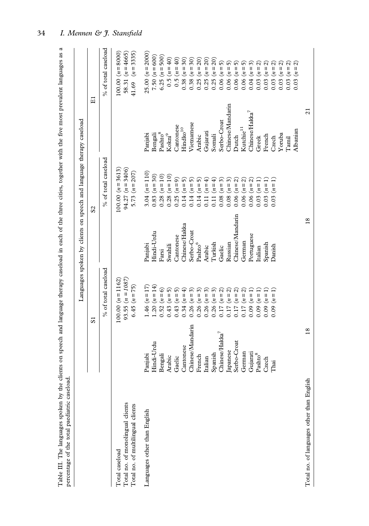| percentage of the total paediatric caseload.<br>Table III. The languages spoken by the  |                                               | clients on speech and language therapy caseload in each of the three cities, together with the five most prevalent languages as                                                                                                                                                                                                                                |                                           |                                                                                                  |                                                                                                                                                                                                                                                      | $\mathfrak{a}$                                                                                                 |
|-----------------------------------------------------------------------------------------|-----------------------------------------------|----------------------------------------------------------------------------------------------------------------------------------------------------------------------------------------------------------------------------------------------------------------------------------------------------------------------------------------------------------------|-------------------------------------------|--------------------------------------------------------------------------------------------------|------------------------------------------------------------------------------------------------------------------------------------------------------------------------------------------------------------------------------------------------------|----------------------------------------------------------------------------------------------------------------|
|                                                                                         |                                               | 5                                                                                                                                                                                                                                                                                                                                                              |                                           | Languages spoken by clients on speech and language therapy caseload<br>S <sub>2</sub>            | 同                                                                                                                                                                                                                                                    |                                                                                                                |
|                                                                                         |                                               | % of total caseload                                                                                                                                                                                                                                                                                                                                            |                                           | % of total caseload                                                                              |                                                                                                                                                                                                                                                      | % of total caseload                                                                                            |
| Total no. of monolingual clients<br>Total no. of multilingual clients<br>Total caseload |                                               | $93.55 (n = 1087)$<br>$100.00 (n = 1162)$<br>$(n=75)$<br>6.45                                                                                                                                                                                                                                                                                                  |                                           | $94.27 (n = 3406)$<br>$100.00(n=3613)$<br>5.73 $(n = 207)$                                       |                                                                                                                                                                                                                                                      | $100.00(n=8000)$<br>58.31 $(n=4665)$<br>$(n=3335)$<br>41.69                                                    |
| Languages other than English                                                            | Hindi-Urdu<br>Panjabi<br>Bengali<br>Arabic    | $1.20(n=14)$<br>$1.46 (n = 17)$<br>$(n=6)$<br>$(n=5)$<br>0.43<br>0.52                                                                                                                                                                                                                                                                                          | Hindi-Urdu<br>Panjabi<br>Swahili<br>Farsi | $(n=110)$<br>$(n=30)$<br>$(n = 10)$<br>$\widehat{\Xi}$<br>$(n =$<br>3.04<br>0.83<br>0.28<br>0.28 | $\ensuremath{\mathrm{P}}\xspace\ensuremath{\mathrm{a}}\xspace\ensuremath{\mathrm{a}}\xspace\ensuremath{\mathrm{b}}\xspace\ensuremath{\mathrm{t}}\xspace\ensuremath{\mathrm{o}}\xspace\ensuremath{\mathrm{s}}$<br>Bengali<br>Panjabi<br>$\rm Kokni^9$ | $25.00(n=2000)$<br>7.50 $(n = 600)$<br>500<br>$0.5(n=40)$<br>$6.25(n=$                                         |
|                                                                                         | Cantonese<br>Gaelic                           | $(n=5)$<br>$(n=4)$<br>0.43<br>0.34                                                                                                                                                                                                                                                                                                                             | Chinese/Hakka<br>Cantonese                | $(n=9)$<br>ົດ<br>$(n = 1)$<br>0.14<br>0.25                                                       | Cantonese<br>Hindko <sup>10</sup>                                                                                                                                                                                                                    | $(n=40)$<br>$(n=30)$<br>0.5 <sub>1</sub><br>0.38                                                               |
|                                                                                         | Chinese/Mandarin<br>French                    | $(n=3)$<br>$(n=3)$<br>0.26<br>0.26                                                                                                                                                                                                                                                                                                                             | Serbo-Croat<br>Pashto <sup>6</sup>        | ົດ<br>ົດ<br>$(n=$<br>$(n =$<br>0.14<br>0.14                                                      | Vietnamese<br>Arabic                                                                                                                                                                                                                                 | $(n=30)$<br>$(n=20)$<br>0.38<br>0.25                                                                           |
|                                                                                         | Spanish<br>Italian                            | $(n=3)$<br>0.26<br>0.26                                                                                                                                                                                                                                                                                                                                        | Turkish<br>Arabic                         | $(n=4)$<br>$(n=4)$<br>0.11<br>0.11                                                               | Gujarati<br>Somali                                                                                                                                                                                                                                   | $(n=20)$<br>$\widehat{20}$<br>$(n=1)$<br>0.25<br>0.25                                                          |
|                                                                                         | ${\rm ChineseHakka}^7$<br><b>Japanese</b>     | $(n=3)$ $(n=2)$<br>0.17<br>0.17                                                                                                                                                                                                                                                                                                                                | Russian<br>Gaelic                         | $\widehat{\mathcal{E}}$<br>$\widehat{\mathcal{E}}$<br>$(n=1)$<br>$(n = 1)$<br>0.08<br>0.08       | Chinese/Mandarin<br>Serbo-Croat                                                                                                                                                                                                                      | ົດ<br>ົດ<br>$(n =$<br>$(n =$<br>0.06<br>0.06                                                                   |
|                                                                                         | Serbo-Croat<br>German                         | $\begin{array}{l} \left( \begin{array}{c} \mathfrak{D} \\ \mathfrak{D} \end{array} \right) \\ \left( \begin{array}{c} \mathfrak{D} \\ \mathfrak{D} \end{array} \right) \\ \left( \begin{array}{c} \mathfrak{D} \\ \mathfrak{D} \end{array} \right) \\ \left( \begin{array}{c} \mathfrak{D} \\ \mathfrak{D} \end{array} \right) \\ \end{array}$<br>0.17<br>0.17 | Chinese/Mandarin<br>German                | ର ର<br>$(n=1)$<br>$(n=$<br>0.06<br>0.06                                                          | $\rm{Kutchic}^{11}$<br>Dutch                                                                                                                                                                                                                         | ົດ<br>ທີ<br>$(n =$<br>$(n =$<br>0.06<br>0.06                                                                   |
|                                                                                         | Gujarati<br>$\ensuremath{\mathrm{Pastrho}^8}$ | $(n=1)$<br>$(n=1)$<br>0.09<br>0.09                                                                                                                                                                                                                                                                                                                             | Portuguese<br>talian                      | $\widehat{\mathcal{C}}$<br>$(n=1)$<br>$n = 2$<br>0.06<br>0.03                                    | ${\rm Chinese/Hakka}^7$<br>Greek                                                                                                                                                                                                                     | $\widehat{\mathcal{E}}$<br>নি<br>$(n=1)$<br>$(n=1)$<br>0.04<br>0.03                                            |
|                                                                                         | Czech<br>Thai                                 | $(n=1)$<br>$(n = 1)$<br>0.09<br>0.09                                                                                                                                                                                                                                                                                                                           | Spanish<br>Danish                         | $(n=1)$<br>$(n=1)$<br>0.03<br>0.03                                                               | French<br>Czech                                                                                                                                                                                                                                      | $\widehat{\mathcal{C}}$<br>$\widehat{\mathcal{C}}$<br>$(n=1)$<br>$(n=1)$<br>0.03<br>0.03                       |
|                                                                                         |                                               |                                                                                                                                                                                                                                                                                                                                                                |                                           |                                                                                                  | Albanian<br>Yoruba<br>Tamil                                                                                                                                                                                                                          | ର<br>$\widehat{\mathcal{C}}$<br>$\widehat{\mathcal{C}}$<br>$(n=1)$<br>$(n =$<br>$(n =$<br>0.03<br>0.03<br>0.03 |
| Total no. of languages other than English                                               | $\frac{8}{18}$                                |                                                                                                                                                                                                                                                                                                                                                                | $\frac{8}{18}$                            |                                                                                                  | $\overline{c}$                                                                                                                                                                                                                                       |                                                                                                                |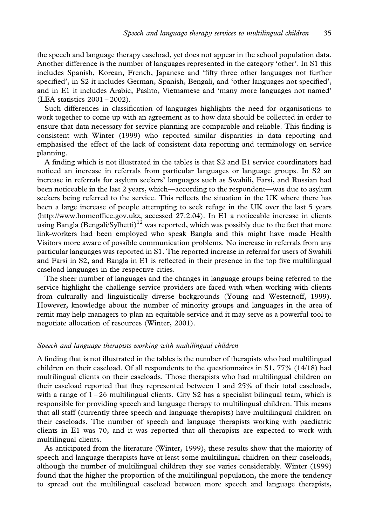the speech and language therapy caseload, yet does not appear in the school population data. Another difference is the number of languages represented in the category 'other'. In S1 this includes Spanish, Korean, French, Japanese and 'fifty three other languages not further specified', in S2 it includes German, Spanish, Bengali, and 'other languages not specified', and in E1 it includes Arabic, Pashto, Vietnamese and 'many more languages not named' (LEA statistics 2001 – 2002).

Such differences in classification of languages highlights the need for organisations to work together to come up with an agreement as to how data should be collected in order to ensure that data necessary for service planning are comparable and reliable. This finding is consistent with Winter (1999) who reported similar disparities in data reporting and emphasised the effect of the lack of consistent data reporting and terminology on service planning.

A finding which is not illustrated in the tables is that S2 and E1 service coordinators had noticed an increase in referrals from particular languages or language groups. In S2 an increase in referrals for asylum seekers' languages such as Swahili, Farsi, and Russian had been noticeable in the last 2 years, which—according to the respondent—was due to asylum seekers being referred to the service. This reflects the situation in the UK where there has been a large increase of people attempting to seek refuge in the UK over the last 5 years (http://www.homeoffice.gov.ukz, accessed 27.2.04). In E1 a noticeable increase in clients using Bangla (Bengali/Sylhetti)<sup>12</sup> was reported, which was possibly due to the fact that more link-workers had been employed who speak Bangla and this might have made Health Visitors more aware of possible communication problems. No increase in referrals from any particular languages was reported in S1. The reported increase in referral for users of Swahili and Farsi in S2, and Bangla in E1 is reflected in their presence in the top five multilingual caseload languages in the respective cities.

The sheer number of languages and the changes in language groups being referred to the service highlight the challenge service providers are faced with when working with clients from culturally and linguistically diverse backgrounds (Young and Westernoff, 1999). However, knowledge about the number of minority groups and languages in the area of remit may help managers to plan an equitable service and it may serve as a powerful tool to negotiate allocation of resources (Winter, 2001).

#### Speech and language therapists working with multilingual children

A finding that is not illustrated in the tables is the number of therapists who had multilingual children on their caseload. Of all respondents to the questionnaires in S1, 77% (14/18) had multilingual clients on their caseloads. Those therapists who had multilingual children on their caseload reported that they represented between 1 and 25% of their total caseloads, with a range of  $1 - 26$  multilingual clients. City S2 has a specialist bilingual team, which is responsible for providing speech and language therapy to multilingual children. This means that all staff (currently three speech and language therapists) have multilingual children on their caseloads. The number of speech and language therapists working with paediatric clients in E1 was 70, and it was reported that all therapists are expected to work with multilingual clients.

As anticipated from the literature (Winter, 1999), these results show that the majority of speech and language therapists have at least some multilingual children on their caseloads, although the number of multilingual children they see varies considerably. Winter (1999) found that the higher the proportion of the multilingual population, the more the tendency to spread out the multilingual caseload between more speech and language therapists,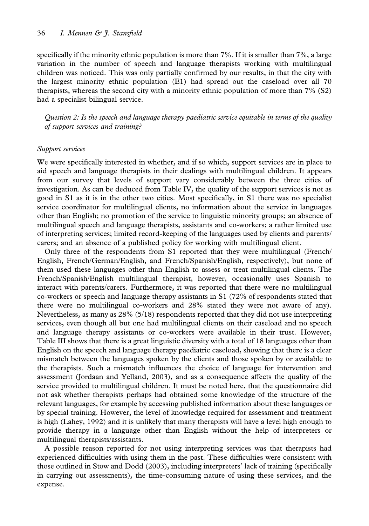specifically if the minority ethnic population is more than  $7\%$ . If it is smaller than  $7\%$ , a large variation in the number of speech and language therapists working with multilingual children was noticed. This was only partially confirmed by our results, in that the city with the largest minority ethnic population (E1) had spread out the caseload over all 70 therapists, whereas the second city with a minority ethnic population of more than 7% (S2) had a specialist bilingual service.

Question 2: Is the speech and language therapy paediatric service equitable in terms of the quality of support services and training?

### Support services

We were specifically interested in whether, and if so which, support services are in place to aid speech and language therapists in their dealings with multilingual children. It appears from our survey that levels of support vary considerably between the three cities of investigation. As can be deduced from Table IV, the quality of the support services is not as good in S1 as it is in the other two cities. Most specifically, in S1 there was no specialist service coordinator for multilingual clients, no information about the service in languages other than English; no promotion of the service to linguistic minority groups; an absence of multilingual speech and language therapists, assistants and co-workers; a rather limited use of interpreting services; limited record-keeping of the languages used by clients and parents/ carers; and an absence of a published policy for working with multilingual client.

Only three of the respondents from S1 reported that they were multilingual (French/ English, French/German/English, and French/Spanish/English, respectively), but none of them used these languages other than English to assess or treat multilingual clients. The French/Spanish/English multilingual therapist, however, occasionally uses Spanish to interact with parents/carers. Furthermore, it was reported that there were no multilingual co-workers or speech and language therapy assistants in S1 (72% of respondents stated that there were no multilingual co-workers and 28% stated they were not aware of any). Nevertheless, as many as 28% (5/18) respondents reported that they did not use interpreting services, even though all but one had multilingual clients on their caseload and no speech and language therapy assistants or co-workers were available in their trust. However, Table III shows that there is a great linguistic diversity with a total of 18 languages other than English on the speech and language therapy paediatric caseload, showing that there is a clear mismatch between the languages spoken by the clients and those spoken by or available to the therapists. Such a mismatch influences the choice of language for intervention and assessment (Jordaan and Yelland, 2003), and as a consequence affects the quality of the service provided to multilingual children. It must be noted here, that the questionnaire did not ask whether therapists perhaps had obtained some knowledge of the structure of the relevant languages, for example by accessing published information about these languages or by special training. However, the level of knowledge required for assessment and treatment is high (Lahey, 1992) and it is unlikely that many therapists will have a level high enough to provide therapy in a language other than English without the help of interpreters or multilingual therapists/assistants.

A possible reason reported for not using interpreting services was that therapists had experienced difficulties with using them in the past. These difficulties were consistent with those outlined in Stow and Dodd (2003), including interpreters' lack of training (specifically in carrying out assessments), the time-consuming nature of using these services, and the expense.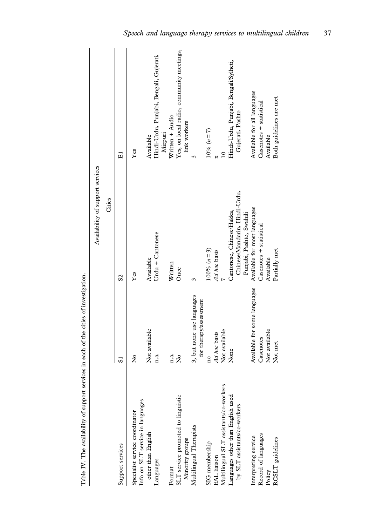|                                                                    |                              | Availability of support services                          |                                                          |
|--------------------------------------------------------------------|------------------------------|-----------------------------------------------------------|----------------------------------------------------------|
|                                                                    |                              | Cities                                                    |                                                          |
| Support services                                                   | 5                            | S <sub>2</sub>                                            | 靣                                                        |
| Info on SLT service in languages<br>Specialist service coordinator | ż                            | Yes                                                       | Yes                                                      |
| other than English                                                 | Not available                | Available                                                 | Available                                                |
| Languages                                                          | n.a.                         | Urdu + Cantonese                                          | Hindi-Urdu, Punjabi, Bengali, Gujerati,                  |
| Format                                                             | n.a.                         | Written                                                   | Written + Audio<br>Mirpuri                               |
| SLT service promoted to linguistic<br>Minority groups              | ž                            | Once                                                      | Yes, on local radio, community meetings,<br>link workers |
| Multilingual Therapists                                            | 3, but none use languages    | 3                                                         | 3                                                        |
|                                                                    | for therapy/assessment       |                                                           |                                                          |
| SIG membership                                                     | $\overline{\mathbf{a}}$      | $100\% (n=3)$                                             | $10\% (n=7)$                                             |
| EAL liaison                                                        | Ad hoc basis                 | Ad hoc basis                                              |                                                          |
| Multilingual SLT assistants/co-workers                             | Not available                |                                                           | $\overline{a}$                                           |
| Languages other than English used                                  | None                         | Cantonese, Chinese/Hakka,                                 | Hindi-Urdu, Punjabi, Bengali/Sylheti,                    |
| by SLT assistants/co-workers                                       |                              | Chinese/Mandarin, Hindi-Urdu,<br>Punjabi, Pashto, Swahili | Gujerati, Pashto                                         |
| Interpreting service<br>Record of languages                        | Available for some languages | Available for most languages                              | Available for all languages                              |
|                                                                    | Casenotes                    | Casenotes + statistical                                   | Casenotes + statistical                                  |
| Policy                                                             | Not available                | Available                                                 | Available                                                |
| RCSLT guidelines                                                   | Not met                      | Partially met                                             | Both guidelines are met                                  |

Table IV. The availability of support services in each of the cities of investigation. Table IV. The availability of support services in each of the cities of investigation.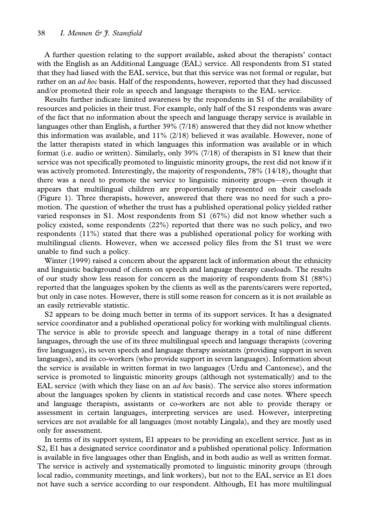A further question relating to the support available, asked about the therapists' contact with the English as an Additional Language (EAL) service. All respondents from S1 stated that they had liased with the EAL service, but that this service was not formal or regular, but rather on an *ad hoc* basis. Half of the respondents, however, reported that they had discussed and/or promoted their role as speech and language therapists to the EAL service.

Results further indicate limited awareness by the respondents in S1 of the availability of resources and policies in their trust. For example, only half of the S1 respondents was aware of the fact that no information about the speech and language therapy service is available in languages other than English, a further 39% (7/18) answered that they did not know whether this information was available, and 11% (2/18) believed it was available. However, none of the latter therapists stated in which languages this information was available or in which format (i.e. audio or written). Similarly, only 39% (7/18) of therapists in S1 knew that their service was not specifically promoted to linguistic minority groups, the rest did not know if it was actively promoted. Interestingly, the majority of respondents, 78% (14/18), thought that there was a need to promote the service to linguistic minority groups—even though it appears that multilingual children are proportionally represented on their caseloads (Figure 1). Three therapists, however, answered that there was no need for such a promotion. The question of whether the trust has a published operational policy yielded rather varied responses in S1. Most respondents from S1 (67%) did not know whether such a policy existed, some respondents (22%) reported that there was no such policy, and two respondents (11%) stated that there was a published operational policy for working with multilingual clients. However, when we accessed policy files from the S1 trust we were unable to find such a policy.

Winter (1999) raised a concern about the apparent lack of information about the ethnicity and linguistic background of clients on speech and language therapy caseloads. The results of our study show less reason for concern as the majority of respondents from S1 (88%) reported that the languages spoken by the clients as well as the parents/carers were reported, but only in case notes. However, there is still some reason for concern as it is not available as an easily retrievable statistic.

S2 appears to be doing much better in terms of its support services. It has a designated service coordinator and a published operational policy for working with multilingual clients. The service is able to provide speech and language therapy in a total of nine different languages, through the use of its three multilingual speech and language therapists (covering five languages), its seven speech and language therapy assistants (providing support in seven languages), and its co-workers (who provide support in seven languages). Information about the service is available in written format in two languages (Urdu and Cantonese), and the service is promoted to linguistic minority groups (although not systematically) and to the EAL service (with which they liase on an *ad hoc* basis). The service also stores information about the languages spoken by clients in statistical records and case notes. Where speech and language therapists, assistants or co-workers are not able to provide therapy or assessment in certain languages, interpreting services are used. However, interpreting services are not available for all languages (most notably Lingala), and they are mostly used only for assessment.

In terms of its support system, E1 appears to be providing an excellent service. Just as in S2, E1 has a designated service coordinator and a published operational policy. Information is available in five languages other than English, and in both audio as well as written format. The service is actively and systematically promoted to linguistic minority groups (through local radio, community meetings, and link workers), but not to the EAL service as E1 does not have such a service according to our respondent. Although, E1 has more multilingual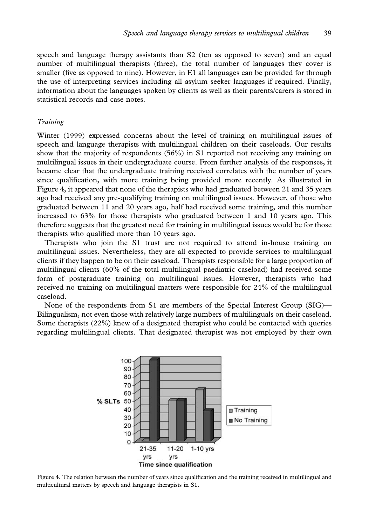speech and language therapy assistants than S2 (ten as opposed to seven) and an equal number of multilingual therapists (three), the total number of languages they cover is smaller (five as opposed to nine). However, in E1 all languages can be provided for through the use of interpreting services including all asylum seeker languages if required. Finally, information about the languages spoken by clients as well as their parents/carers is stored in statistical records and case notes.

#### **Training**

Winter (1999) expressed concerns about the level of training on multilingual issues of speech and language therapists with multilingual children on their caseloads. Our results show that the majority of respondents (56%) in S1 reported not receiving any training on multilingual issues in their undergraduate course. From further analysis of the responses, it became clear that the undergraduate training received correlates with the number of years since qualification, with more training being provided more recently. As illustrated in Figure 4, it appeared that none of the therapists who had graduated between 21 and 35 years ago had received any pre-qualifying training on multilingual issues. However, of those who graduated between 11 and 20 years ago, half had received some training, and this number increased to 63% for those therapists who graduated between 1 and 10 years ago. This therefore suggests that the greatest need for training in multilingual issues would be for those therapists who qualified more than 10 years ago.

Therapists who join the S1 trust are not required to attend in-house training on multilingual issues. Nevertheless, they are all expected to provide services to multilingual clients if they happen to be on their caseload. Therapists responsible for a large proportion of multilingual clients (60% of the total multilingual paediatric caseload) had received some form of postgraduate training on multilingual issues. However, therapists who had received no training on multilingual matters were responsible for 24% of the multilingual caseload.

None of the respondents from S1 are members of the Special Interest Group (SIG)— Bilingualism, not even those with relatively large numbers of multilinguals on their caseload. Some therapists (22%) knew of a designated therapist who could be contacted with queries regarding multilingual clients. That designated therapist was not employed by their own



Figure 4. The relation between the number of years since qualification and the training received in multilingual and multicultural matters by speech and language therapists in S1.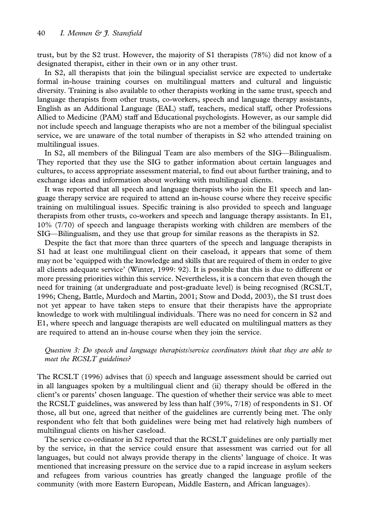trust, but by the S2 trust. However, the majority of S1 therapists (78%) did not know of a designated therapist, either in their own or in any other trust.

In S2, all therapists that join the bilingual specialist service are expected to undertake formal in-house training courses on multilingual matters and cultural and linguistic diversity. Training is also available to other therapists working in the same trust, speech and language therapists from other trusts, co-workers, speech and language therapy assistants, English as an Additional Language (EAL) staff, teachers, medical staff, other Professions Allied to Medicine (PAM) staff and Educational psychologists. However, as our sample did not include speech and language therapists who are not a member of the bilingual specialist service, we are unaware of the total number of therapists in S2 who attended training on multilingual issues.

In S2, all members of the Bilingual Team are also members of the SIG—Bilingualism. They reported that they use the SIG to gather information about certain languages and cultures, to access appropriate assessment material, to find out about further training, and to exchange ideas and information about working with multilingual clients.

It was reported that all speech and language therapists who join the E1 speech and language therapy service are required to attend an in-house course where they receive specific training on multilingual issues. Specific training is also provided to speech and language therapists from other trusts, co-workers and speech and language therapy assistants. In E1, 10% (7/70) of speech and language therapists working with children are members of the SIG—Bilingualism, and they use that group for similar reasons as the therapists in S2.

Despite the fact that more than three quarters of the speech and language therapists in S1 had at least one multilingual client on their caseload, it appears that some of them may not be 'equipped with the knowledge and skills that are required of them in order to give all clients adequate service' (Winter, 1999: 92). It is possible that this is due to different or more pressing priorities within this service. Nevertheless, it is a concern that even though the need for training (at undergraduate and post-graduate level) is being recognised (RCSLT, 1996; Cheng, Battle, Murdoch and Martin, 2001; Stow and Dodd, 2003), the S1 trust does not yet appear to have taken steps to ensure that their therapists have the appropriate knowledge to work with multilingual individuals. There was no need for concern in S2 and E1, where speech and language therapists are well educated on multilingual matters as they are required to attend an in-house course when they join the service.

## Question 3: Do speech and language therapists/service coordinators think that they are able to meet the RCSLT guidelines?

The RCSLT (1996) advises that (i) speech and language assessment should be carried out in all languages spoken by a multilingual client and (ii) therapy should be offered in the client's or parents' chosen language. The question of whether their service was able to meet the RCSLT guidelines, was answered by less than half (39%, 7/18) of respondents in S1. Of those, all but one, agreed that neither of the guidelines are currently being met. The only respondent who felt that both guidelines were being met had relatively high numbers of multilingual clients on his/her caseload.

The service co-ordinator in S2 reported that the RCSLT guidelines are only partially met by the service, in that the service could ensure that assessment was carried out for all languages, but could not always provide therapy in the clients' language of choice. It was mentioned that increasing pressure on the service due to a rapid increase in asylum seekers and refugees from various countries has greatly changed the language profile of the community (with more Eastern European, Middle Eastern, and African languages).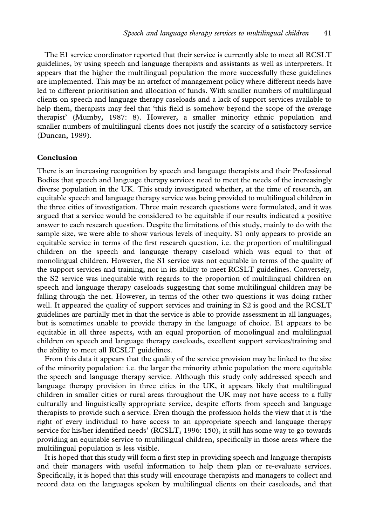The E1 service coordinator reported that their service is currently able to meet all RCSLT guidelines, by using speech and language therapists and assistants as well as interpreters. It appears that the higher the multilingual population the more successfully these guidelines are implemented. This may be an artefact of management policy where different needs have led to different prioritisation and allocation of funds. With smaller numbers of multilingual clients on speech and language therapy caseloads and a lack of support services available to help them, therapists may feel that 'this field is somehow beyond the scope of the average therapist' (Mumby, 1987: 8). However, a smaller minority ethnic population and smaller numbers of multilingual clients does not justify the scarcity of a satisfactory service (Duncan, 1989).

### Conclusion

There is an increasing recognition by speech and language therapists and their Professional Bodies that speech and language therapy services need to meet the needs of the increasingly diverse population in the UK. This study investigated whether, at the time of research, an equitable speech and language therapy service was being provided to multilingual children in the three cities of investigation. Three main research questions were formulated, and it was argued that a service would be considered to be equitable if our results indicated a positive answer to each research question. Despite the limitations of this study, mainly to do with the sample size, we were able to show various levels of inequity. S1 only appears to provide an equitable service in terms of the first research question, i.e. the proportion of multilingual children on the speech and language therapy caseload which was equal to that of monolingual children. However, the S1 service was not equitable in terms of the quality of the support services and training, nor in its ability to meet RCSLT guidelines. Conversely, the S2 service was inequitable with regards to the proportion of multilingual children on speech and language therapy caseloads suggesting that some multilingual children may be falling through the net. However, in terms of the other two questions it was doing rather well. It appeared the quality of support services and training in S2 is good and the RCSLT guidelines are partially met in that the service is able to provide assessment in all languages, but is sometimes unable to provide therapy in the language of choice. E1 appears to be equitable in all three aspects, with an equal proportion of monolingual and multilingual children on speech and language therapy caseloads, excellent support services/training and the ability to meet all RCSLT guidelines.

From this data it appears that the quality of the service provision may be linked to the size of the minority population: i.e. the larger the minority ethnic population the more equitable the speech and language therapy service. Although this study only addressed speech and language therapy provision in three cities in the UK, it appears likely that multilingual children in smaller cities or rural areas throughout the UK may not have access to a fully culturally and linguistically appropriate service, despite efforts from speech and language therapists to provide such a service. Even though the profession holds the view that it is 'the right of every individual to have access to an appropriate speech and language therapy service for his/her identified needs' (RCSLT, 1996: 150), it still has some way to go towards providing an equitable service to multilingual children, specifically in those areas where the multilingual population is less visible.

It is hoped that this study will form a first step in providing speech and language therapists and their managers with useful information to help them plan or re-evaluate services. Specifically, it is hoped that this study will encourage therapists and managers to collect and record data on the languages spoken by multilingual clients on their caseloads, and that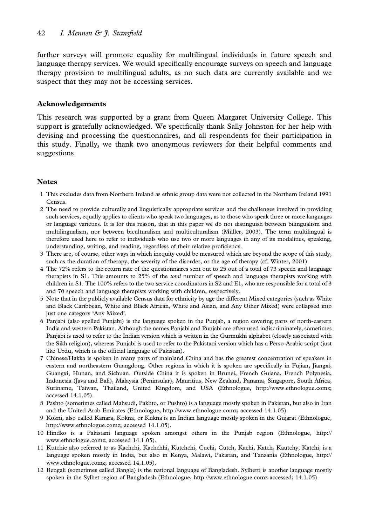further surveys will promote equality for multilingual individuals in future speech and language therapy services. We would specifically encourage surveys on speech and language therapy provision to multilingual adults, as no such data are currently available and we suspect that they may not be accessing services.

## Acknowledgements

This research was supported by a grant from Queen Margaret University College. This support is gratefully acknowledged. We specifically thank Sally Johnston for her help with devising and processing the questionnaires, and all respondents for their participation in this study. Finally, we thank two anonymous reviewers for their helpful comments and suggestions.

# Notes

- 1 This excludes data from Northern Ireland as ethnic group data were not collected in the Northern Ireland 1991 Census.
- 2 The need to provide culturally and linguistically appropriate services and the challenges involved in providing such services, equally applies to clients who speak two languages, as to those who speak three or more languages or language varieties. It is for this reason, that in this paper we do not distinguish between bilingualism and multilingualism, nor between biculturalism and multiculturalism (Müller, 2003). The term multilingual is therefore used here to refer to individuals who use two or more languages in any of its modalities, speaking, understanding, writing, and reading, regardless of their relative proficiency.
- 3 There are, of course, other ways in which inequity could be measured which are beyond the scope of this study, such as the duration of therapy, the severity of the disorder, or the age of therapy (cf. Winter, 2001).
- 4 The 72% refers to the return rate of the questionnaires sent out to 25 out of a total of 73 speech and language therapists in S1. This amounts to 25% of the total number of speech and language therapists working with children in S1. The 100% refers to the two service coordinators in S2 and E1, who are responsible for a total of 3 and 70 speech and language therapists working with children, respectively.
- 5 Note that in the publicly available Census data for ethnicity by age the different Mixed categories (such as White and Black Caribbean, White and Black African, White and Asian, and Any Other Mixed) were collapsed into just one category 'Any Mixed'.
- 6 Panjabi (also spelled Punjabi) is the language spoken in the Punjab, a region covering parts of north-eastern India and western Pakistan. Although the names Panjabi and Punjabi are often used indiscriminately, sometimes Panjabi is used to refer to the Indian version which is written in the Gurmukhi alphabet (closely associated with the Sikh religion), whereas Punjabi is used to refer to the Pakistani version which has a Perso-Arabic script (just like Urdu, which is the official language of Pakistan).
- 7 Chinese/Hakka is spoken in many parts of mainland China and has the greatest concentration of speakers in eastern and northeastern Guangdong. Other regions in which it is spoken are specifically in Fujian, Jiangxi, Guangxi, Hunan, and Sichuan. Outside China it is spoken in Brunei, French Guiana, French Polynesia, Indonesia (Java and Bali), Malaysia (Peninsular), Mauritius, New Zealand, Panama, Singapore, South Africa, Suriname, Taiwan, Thailand, United Kingdom, and USA (Ethnologue, http://www.ethnologue.comz; accessed 14.1.05).
- 8 Pashto (sometimes called Mahsudi, Pakhto, or Pushto) is a language mostly spoken in Pakistan, but also in Iran and the United Arab Emirates (Ethnologue, http://www.ethnologue.comz; accessed 14.1.05).
- 9 Kokni, also called Kanara, Kokna, or Kukna is an Indian language mostly spoken in the Gujarat (Ethnologue, http://www.ethnologue.comz; accessed 14.1.05).
- 10 Hindko is a Pakistani language spoken amongst others in the Punjab region (Ethnologue, http:// www.ethnologue.comz; accessed 14.1.05).
- 11 Kutchie also referred to as Kachchi, Kachchhi, Kutchchi, Cuchi, Cutch, Kachi, Katch, Kautchy, Katchi, is a language spoken mostly in India, but also in Kenya, Malawi, Pakistan, and Tanzania (Ethnologue, http:// www.ethnologue.comz; accessed 14.1.05).
- 12 Bengali (sometimes called Bangla) is the national language of Bangladesh. Sylhetti is another language mostly spoken in the Sylhet region of Bangladesh (Ethnologue, http://www.ethnologue.comz accessed; 14.1.05).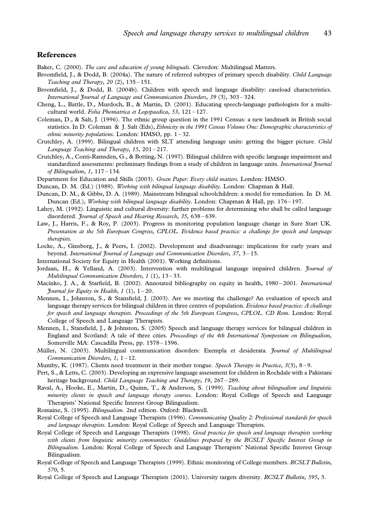#### References

Baker, C. (2000). The care and education of young bilinguals. Clevedon: Multilingual Matters.

- Broomfield, J., & Dodd, B. (2004a). The nature of referred subtypes of primary speech disability. Child Language Teaching and Therapy,  $20(2)$ ,  $135-151$ .
- Broomfield, J., & Dodd, B. (2004b). Children with speech and language disability: caseload characteristics. International Journal of Language and Communication Disorders, 39 (3), 303 – 324.
- Cheng, L., Battle, D., Murdoch, B., & Martin, D. (2001). Educating speech-language pathologists for a multicultural world. Folia Phoniatrica et Logopaedica, 53, 121 – 127.
- Coleman, D., & Salt, J. (1996). The ethnic group question in the 1991 Census: a new landmark in British social statistics. In D. Coleman & J. Salt (Eds), Ethnicity in the 1991 Census Volume One: Demographic characteristics of ethnic minority populations. London: HMSO, pp.  $1-32$ .
- Crutchley, A. (1999). Bilingual children with SLT attending language units: getting the bigger picture. Child Language Teaching and Therapy, 15, 201 – 217.
- Crutchley, A., Conti-Ramsden, G., & Botting, N. (1997). Bilingual children with specific language impairment and standardized assessments: preliminary findings from a study of children in language units. *International Journal* of Bilingualism, 1, 117 – 134.

Department for Education and Skills (2003). Green Paper: Every child matters. London: HMSO.

- Duncan, D. M. (Ed.) (1989). Working with bilingual language disability. London: Chapman & Hall.
- Duncan, D. M., & Gibbs, D. A. (1989). Mainstream bilingual schoolchildren: a model for remediation. In D. M. Duncan (Ed.), Working with bilingual language disability. London: Chapman & Hall, pp. 176 – 197.
- Lahey, M. (1992). Linguistic and cultural diversity: further problems for determining who shall be called language disordered. Journal of Speech and Hearing Research, 35, 638–639.
- Law, J., Harris, F., & Roy, P. (2003). Progress in monitoring population language change in Sure Start UK. Presentation at the 5th European Congress, CPLOL. Evidence based practice: a challenge for speech and language therapists.
- Locke, A., Ginsborg, J., & Peers, I. (2002). Development and disadvantage: implications for early years and beyond. International Journal of Language and Communication Disorders, 37, 3-15.
- International Society for Equity in Health (2001). Working definitions.
- Jordaan, H., & Yelland, A. (2003). Intervention with multilingual language impaired children. Journal of Multilingual Communication Disorders, 1 (1), 13 – 33.
- Macinko, J. A., & Starfield, B. (2002). Annotated bibliography on equity in health, 1980-2001. International *Fournal for Equity in Health, 1* (1),  $1-20$ .
- Mennen, I., Johnston, S., & Stansfield, J. (2003). Are we meeting the challenge? An evaluation of speech and language therapy services for bilingual children in three centres of population. Evidence based practice: A challenge for speech and language therapists. Proceedings of the 5th European Congress, CPLOL. CD Rom. London: Royal College of Speech and Language Therapists.
- Mennen, I., Stansfield, J., & Johnston, S. (2005) Speech and language therapy services for bilingual children in England and Scotland: A tale of three cities. Proceedings of the 4th International Symposium on Bilingualism, Somerville MA: Cascadilla Press, pp. 1578 – 1596.
- Müller, N. (2003). Multilingual communication disorders: Exempla et desiderata. Journal of Multilingual Communication Disorders,  $1, 1-12$ .
- Mumby, K. (1987). Clients need treatment in their mother tongue. Speech Therapy in Practice, 3(3), 8–9.
- Pert, S., & Letts, C. (2003). Developing an expressive language assessment for children in Rochdale with a Pakistani heritage background. Child Language Teaching and Therapy, 19, 267 – 289.
- Raval, A., Hooke, E., Martin, D., Quinn, T., & Anderson, S. (1999). Teaching about bilingualism and linguistic minority clients in speech and language therapy courses. London: Royal College of Speech and Language Therapists' National Specific Interest Group Bilingualism.
- Romaine, S. (1995). Bilingualism. 2nd edition. Oxford: Blackwell.
- Royal College of Speech and Language Therapists (1996). Communicating Quality 2: Professional standards for speech and language therapists. London: Royal College of Speech and Language Therapists.
- Royal College of Speech and Language Therapists (1998). Good practice for speech and language therapists working with clients from linguistic minority communities: Guidelines prepared by the RCSLT Specific Interest Group in Bilingualism. London: Royal College of Speech and Language Therapists' National Specific Interest Group Bilingualism.
- Royal College of Speech and Language Therapists (1999). Ethnic monitoring of College members. RCSLT Bulletin, 570, 5.
- Royal College of Speech and Language Therapists (2001). University targets diversity. RCSLT Bulletin, 595, 3.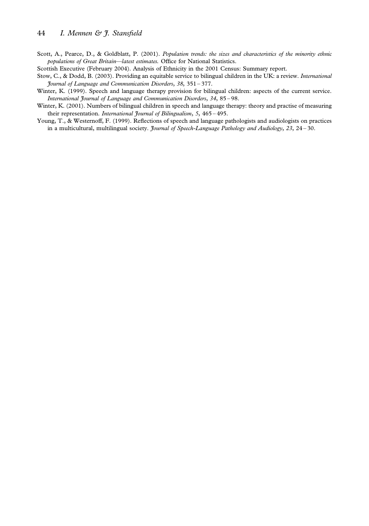Scott, A., Pearce, D., & Goldblatt, P. (2001). Population trends: the sizes and characteristics of the minority ethnic populations of Great Britain—latest estimates. Office for National Statistics.

Scottish Executive (February 2004). Analysis of Ethnicity in the 2001 Census: Summary report.

Stow, C., & Dodd, B. (2003). Providing an equitable service to bilingual children in the UK: a review. International Journal of Language and Communication Disorders, 38, 351 – 377.

Winter, K. (1999). Speech and language therapy provision for bilingual children: aspects of the current service. International Journal of Language and Communication Disorders, 34, 85 – 98.

Winter, K. (2001). Numbers of bilingual children in speech and language therapy: theory and practise of measuring their representation. International Journal of Bilingualism, 5, 465 – 495.

Young, T., & Westernoff, F. (1999). Reflections of speech and language pathologists and audiologists on practices in a multicultural, multilingual society. *Journal of Speech-Language Pathology and Audiology*, 23, 24 – 30.